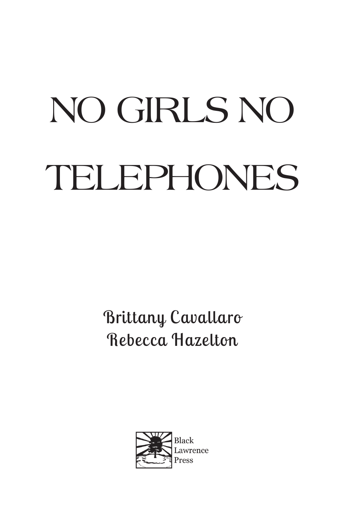## No Girls No TELEPHONES

Brittany Cavallaro Rebecca Hazelton

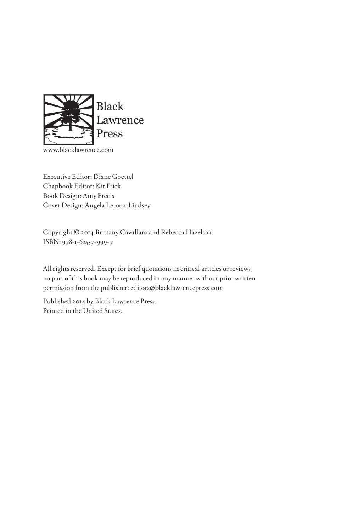

w.blacklawrence.com

Executive Editor: Diane Goettel Chapbook Editor: Kit Frick Book Design: Amy Freels Cover Design: Angela Leroux-Lindsey

Copyright © 2014 Brittany Cavallaro and Rebecca Hazelton ISBN: 978-1-62557-999-7

All rights reserved. Except for brief quotations in critical articles or reviews, no part of this book may be reproduced in any manner without prior written permission from the publisher: editors@blacklawrencepress.com

Published 2014 by Black Lawrence Press. Printed in the United States.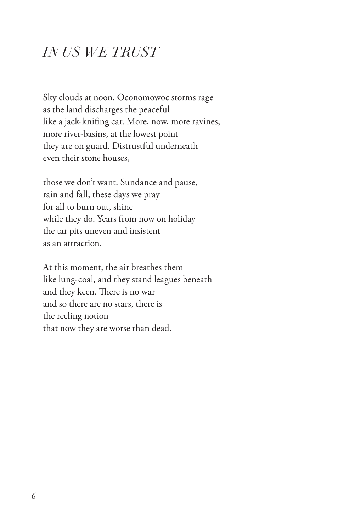## *IN US WE TRUST*

Sky clouds at noon, Oconomowoc storms rage as the land discharges the peaceful like a jack-knifing car. More, now, more ravines, more river-basins, at the lowest point they are on guard. Distrustful underneath even their stone houses,

those we don't want. Sundance and pause, rain and fall, these days we pray for all to burn out, shine while they do. Years from now on holiday the tar pits uneven and insistent as an attraction.

At this moment, the air breathes them like lung-coal, and they stand leagues beneath and they keen. There is no war and so there are no stars, there is the reeling notion that now they are worse than dead.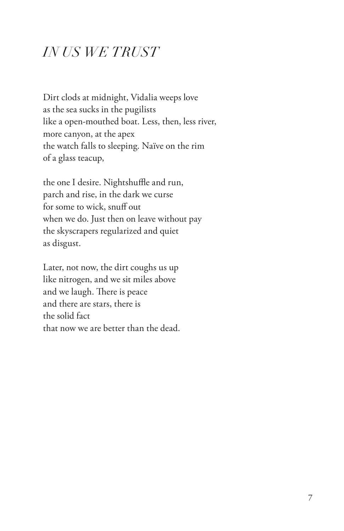## *IN US WE TRUST*

Dirt clods at midnight, Vidalia weeps love as the sea sucks in the pugilists like a open-mouthed boat. Less, then, less river, more canyon, at the apex the watch falls to sleeping. Naïve on the rim of a glass teacup,

the one I desire. Nightshuffle and run, parch and rise, in the dark we curse for some to wick, snuff out when we do. Just then on leave without pay the skyscrapers regularized and quiet as disgust.

Later, not now, the dirt coughs us up like nitrogen, and we sit miles above and we laugh. There is peace and there are stars, there is the solid fact that now we are better than the dead.